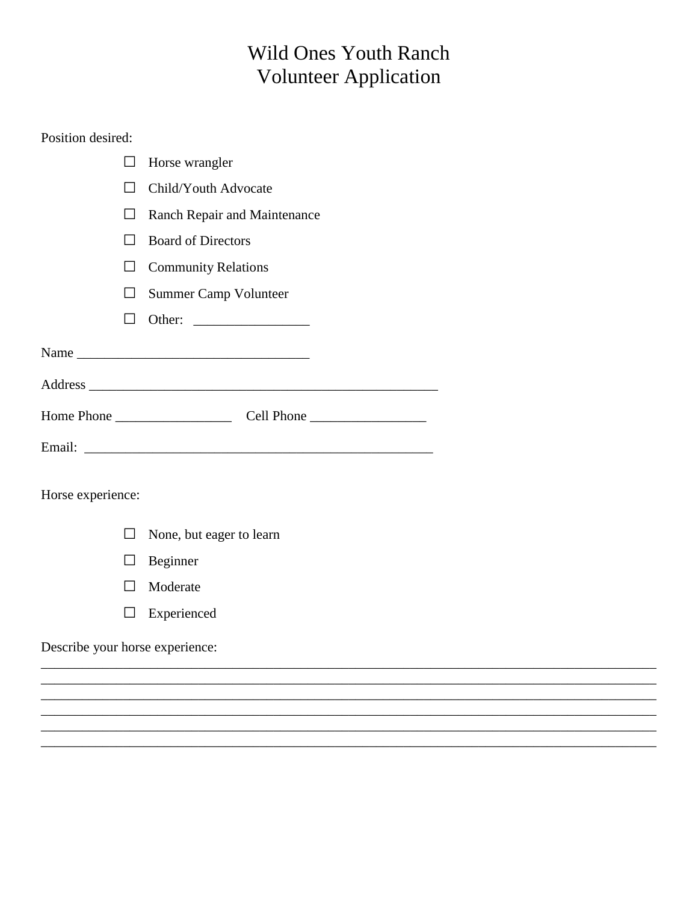## **Wild Ones Youth Ranch** Volunteer Application

## Position desired:

|                                 |                | Horse wrangler               |  |  |  |  |
|---------------------------------|----------------|------------------------------|--|--|--|--|
|                                 |                | Child/Youth Advocate         |  |  |  |  |
|                                 | $\mathsf{L}$   | Ranch Repair and Maintenance |  |  |  |  |
|                                 | $\perp$        | <b>Board of Directors</b>    |  |  |  |  |
| $\overline{\phantom{a}}$        |                | <b>Community Relations</b>   |  |  |  |  |
|                                 | $\perp$        | Summer Camp Volunteer        |  |  |  |  |
|                                 | П              |                              |  |  |  |  |
|                                 |                |                              |  |  |  |  |
|                                 |                |                              |  |  |  |  |
|                                 |                |                              |  |  |  |  |
|                                 |                |                              |  |  |  |  |
| Horse experience:               |                |                              |  |  |  |  |
|                                 | $\perp$        | None, but eager to learn     |  |  |  |  |
|                                 | $\blacksquare$ | Beginner                     |  |  |  |  |
|                                 | $\Box$         | Moderate                     |  |  |  |  |
|                                 |                | Experienced                  |  |  |  |  |
| Describe your horse experience: |                |                              |  |  |  |  |
|                                 |                |                              |  |  |  |  |
|                                 |                |                              |  |  |  |  |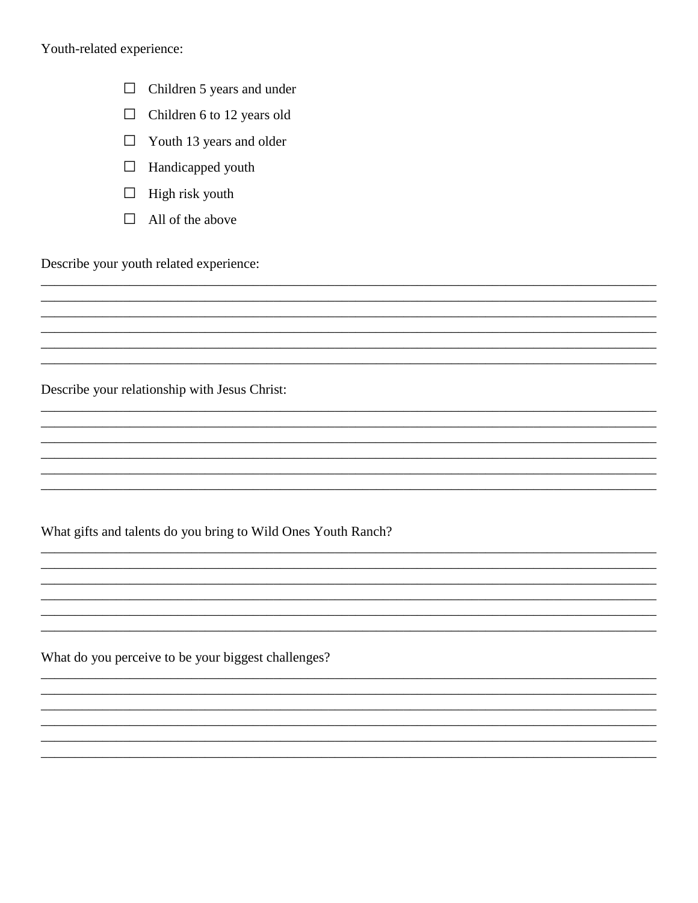Youth-related experience:

- $\Box$  Children 5 years and under
- $\Box$ Children 6 to 12 years old
- $\Box$  Youth 13 years and older
- $\Box$  Handicapped youth
- $\Box$  High risk youth
- $\Box$  All of the above

Describe your youth related experience:

Describe your relationship with Jesus Christ:

What gifts and talents do you bring to Wild Ones Youth Ranch?

What do you perceive to be your biggest challenges?